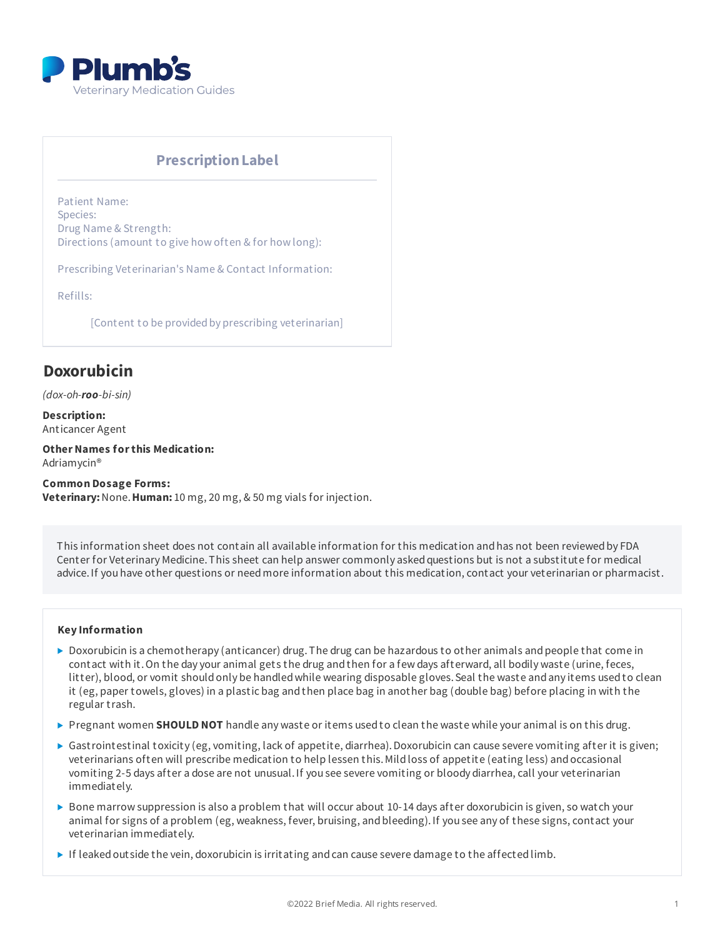

## **PrescriptionLabel**

Patient Name: Species: Drug Name & Strength: Directions (amount to give how often & for how long):

Prescribing Veterinarian's Name & Contact Information:

Refills:

[Content to be provided by prescribing veterinarian]

# **Doxorubicin**

*(dox-oh-roo-bi-sin)*

**Description:** Anticancer Agent

**OtherNames forthis Medication:** Adriamycin®

**Common Dosage Forms: Veterinary:**None.**Human:** 10 mg, 20 mg, & 50 mg vials for injection.

This information sheet does not contain all available information for this medication and has not been reviewed by FDA Center for Veterinary Medicine. This sheet can help answer commonly asked questions but is not a substitute for medical advice.If you have other questions or needmore information about this medication, contact your veterinarian or pharmacist.

#### **Key Information**

- $\triangleright$  Doxorubicin is a chemotherapy (anticancer) drug. The drug can be hazardous to other animals and people that come in contact with it.On the day your animal gets the drug andthen for a few days afterward, all bodily waste (urine, feces, litter), blood, or vomit shouldonly be handledwhile wearing disposable gloves.Seal the waste andany items usedto clean it (eg, paper towels, gloves) in a plastic bag andthen place bag in another bag (double bag) before placing in with the regular trash.
- ▶ Pregnant women **SHOULD NOT** handle any waste or items used to clean the waste while your animal is on this drug.
- Gastrointestinal toxicity (eg, vomiting, lack of appetite, diarrhea). Doxorubicin can cause severe vomiting after it is given; veterinarians often will prescribe medication to help lessen this.Mildloss of appetite (eating less) andoccasional vomiting 2-5 days after a dose are not unusual.If you see severe vomiting or bloody diarrhea, call your veterinarian immediately.
- Bone marrow suppression is also a problem that will occur about 10-14 days after doxorubicin is given, so watch your animal for signs of a problem (eg, weakness, fever, bruising, and bleeding). If you see any of these signs, contact your veterinarian immediately.
- If leaked out side the vein, doxorubicin is irritating and can cause severe damage to the affected limb.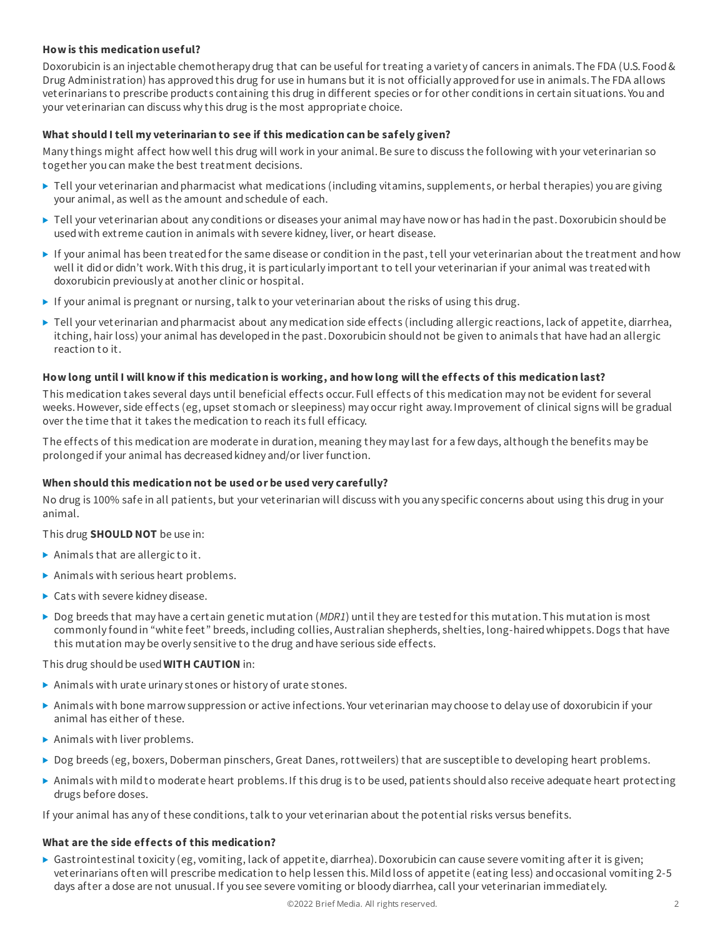## **How is this medication useful?**

Doxorubicin is an injectable chemotherapy drug that can be useful for treating a variety of cancers in animals.The FDA (U.S. Food& Drug Administration) has approvedthis drug for use in humans but it is not officially approvedfor use in animals.The FDA allows veterinarians to prescribe products containing this drug in different species or for other conditions in certain situations. You and your veterinarian can discuss why this drug is the most appropriate choice.

## **What should I tell my veterinarian to see if this medication can be safely given?**

Many things might affect how well this drug will work in your animal.Be sure to discuss the following with your veterinarian so together you can make the best treatment decisions.

- $\blacktriangleright$  Tell your veterinarian and pharmacist what medications (including vitamins, supplements, or herbal therapies) you are giving your animal, as well as the amount andschedule of each.
- ▶ Tell your veterinarian about any conditions or diseases your animal may have now or has had in the past. Doxorubicin should be usedwith extreme caution in animals with severe kidney, liver, or heart disease.
- If your animal has been treatedfor the same disease or condition in the past, tell your veterinarian about the treatment andhow well it didor didn't work.With this drug, it is particularly important to tell your veterinarian if your animal was treatedwith doxorubicin previously at another clinic or hospital.
- If your animal is pregnant or nursing, talk to your veterinarian about the risks of using this drug.
- $\blacktriangleright$  Tell your veterinarian and pharmacist about any medication side effects (including allergic reactions, lack of appetite, diarrhea, itching, hair loss) your animal has developed in the past. Doxorubicin should not be given to animals that have had an allergic reaction to it.

## How long until I will know if this medication is working, and how long will the effects of this medication last?

This medication takes several days until beneficial effects occur. Full effects of this medication may not be evident for several weeks.However, side effects (eg, upset stomach or sleepiness) may occur right away.Improvement of clinical signs will be gradual over the time that it takes the medication to reach its full efficacy.

The effects of this medication are moderate in duration, meaning they may last for a few days, although the benefits may be prolonged if your animal has decreased kidney and/or liver function.

## **When should this medication not be used or be used very carefully?**

No drug is 100% safe in all patients, but your veterinarian will discuss with you any specific concerns about using this drug in your animal.

## This drug **SHOULD NOT** be use in:

- Animals that are allergic to it.
- $\blacktriangleright$  Animals with serious heart problems.
- ▶ Cats with severe kidney disease.
- $\triangleright$  Dog breeds that may have a certain genetic mutation (*MDR1*) until they are tested for this mutation. This mutation is most commonly foundin "white feet" breeds, including collies, Australian shepherds, shelties, long-hairedwhippets.Dogs that have this mutation may be overly sensitive to the drug andhave serious side effects.

## This drug shouldbe used**WITH CAUTION** in:

- Animals with urate urinary stones or history of urate stones.
- Animals with bone marrow suppression or active infections. Your veterinarian may choose to delay use of doxorubicin if your animal has either of these.
- $\blacktriangleright$  Animals with liver problems.
- ▶ Dog breeds (eg, boxers, Doberman pinschers, Great Danes, rottweilers) that are susceptible to developing heart problems.
- Animals with mildto moderate heart problems.If this drug is to be used, patients shouldalso receive adequate heart protecting drugs before doses.

If your animal has any of these conditions, talk to your veterinarian about the potential risks versus benefits.

## **What are the side effects of this medication?**

Gastrointestinal toxicity (eg, vomiting, lack of appetite, diarrhea). Doxorubicin can cause severe vomiting after it is given; veterinarians often will prescribe medication to help lessen this.Mildloss of appetite (eating less) andoccasional vomiting 2-5 days after a dose are not unusual.If you see severe vomiting or bloody diarrhea, call your veterinarian immediately.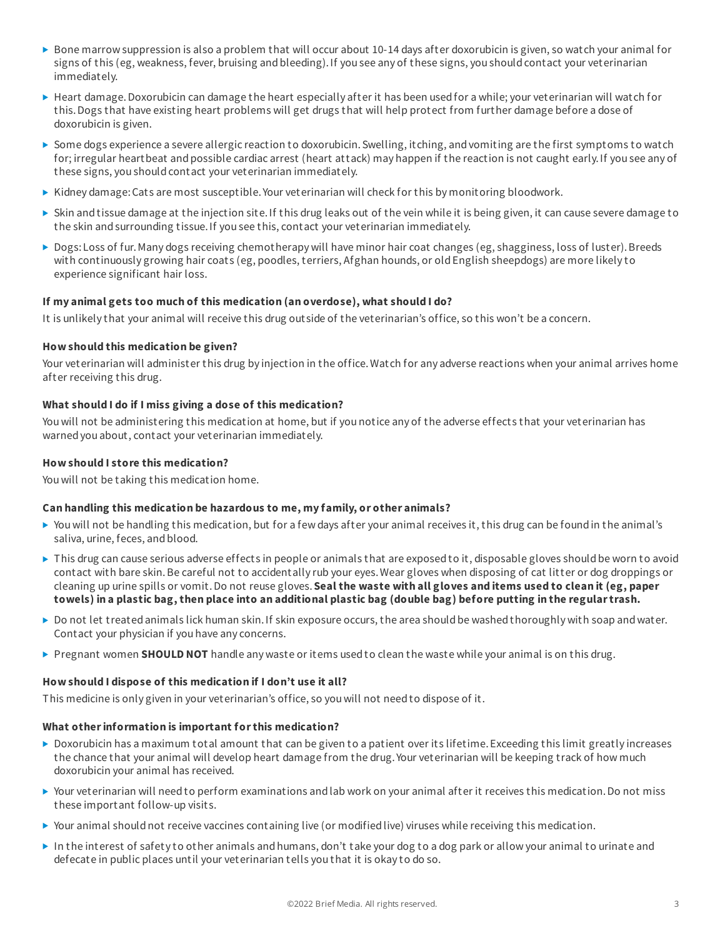- Bone marrow suppression is also a problem that will occur about 10-14 days after doxorubicin is given, so watch your animal for signs of this (eg, weakness, fever, bruising and bleeding). If you see any of these signs, you should contact your veterinarian immediately.
- ► Heart damage. Doxorubicin can damage the heart especially after it has been used for a while; your veterinarian will watch for this.Dogs that have existing heart problems will get drugs that will help protect from further damage before a dose of doxorubicin is given.
- Some dogs experience a severe allergic reaction to doxorubicin.Swelling, itching, andvomiting are the first symptoms to watch for; irregular heartbeat andpossible cardiac arrest (heart attack) may happen if the reaction is not caught early.If you see any of these signs, you shouldcontact your veterinarian immediately.
- $\triangleright$  Kidney damage: Cats are most susceptible. Your veterinarian will check for this by monitoring bloodwork.
- Skin andtissue damage at the injection site.If this drug leaks out of the vein while it is being given, it can cause severe damage to the skin andsurrounding tissue.If you see this, contact your veterinarian immediately.
- ▶ Dogs: Loss of fur. Many dogs receiving chemotherapy will have minor hair coat changes (eg, shagginess, loss of luster). Breeds with continuously growing hair coats (eg, poodles, terriers, Afghan hounds, or oldEnglish sheepdogs) are more likely to experience significant hair loss.

#### **If my animal gets too much of this medication (an overdose), what should I do?**

It is unlikely that your animal will receive this drug outside of the veterinarian's office, so this won't be a concern.

#### **How should this medication be given?**

Your veterinarian will administer this drug by injection in the office.Watch for any adverse reactions when your animal arrives home after receiving this drug.

#### **What should I do if I miss giving a dose of this medication?**

Youwill not be administering this medication at home, but if you notice any of the adverse effects that your veterinarian has warnedyou about, contact your veterinarian immediately.

#### **How should I store this medication?**

Youwill not be taking this medication home.

#### **Can handling this medication be hazardous to me, my family, or other animals?**

- $\triangleright$  You will not be handling this medication, but for a few days after your animal receives it, this drug can be found in the animal's saliva, urine, feces, and blood.
- ▶ This drug can cause serious adverse effects in people or animals that are exposed to it, disposable gloves should be worn to avoid contact with bare skin.Be careful not to accidentally rub your eyes.Wear gloves when disposing of cat litter or dog droppings or cleaning up urine spills or vomit.Do not reuse gloves.**Seal the waste with all gloves and items used to clean it (eg, paper** towels) in a plastic bag, then place into an additional plastic bag (double bag) before putting in the regular trash.
- $\triangleright$  Do not let treated animals lick human skin. If skin exposure occurs, the area should be washed thoroughly with soap and water. Contact your physician if you have any concerns.
- ▶ Pregnant women **SHOULD NOT** handle any waste or items used to clean the waste while your animal is on this drug.

#### **How should I dispose of this medication if I don't use it all?**

This medicine is only given in your veterinarian's office, so youwill not needto dispose of it.

#### **What otherinformation is important forthis medication?**

- $\triangleright$  Doxorubicin has a maximum total amount that can be given to a patient over its lifetime. Exceeding this limit greatly increases the chance that your animal will develop heart damage from the drug. Your veterinarian will be keeping track of how much doxorubicin your animal has received.
- ▶ Your veterinarian will need to perform examinations and lab work on your animal after it receives this medication. Do not miss these important follow-up visits.
- Your animal shouldnot receive vaccines containing live (or modifiedlive) viruses while receiving this medication.
- In the interest of safety to other animals and humans, don't take your dog to a dog park or allow your animal to urinate and defecate in public places until your veterinarian tells you that it is okay to do so.